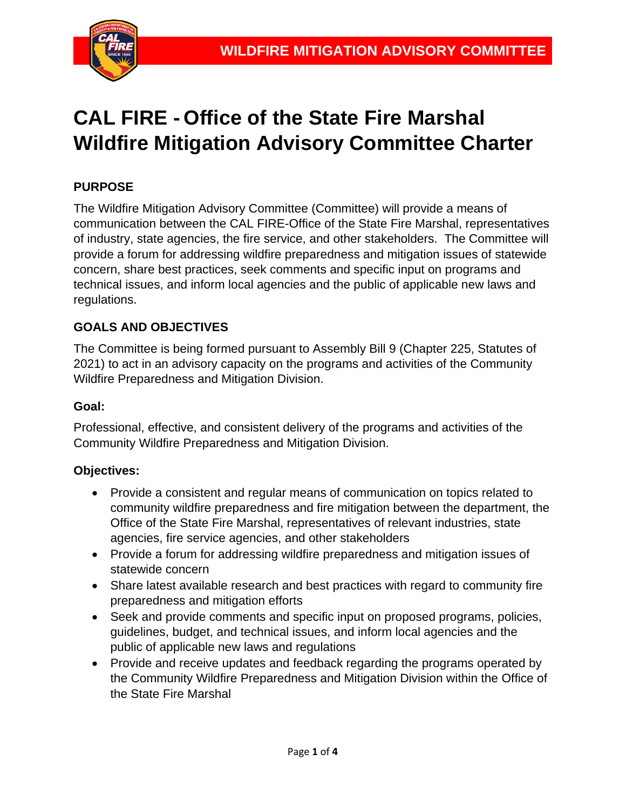

# **CAL FIRE - Office of the State Fire Marshal Wildfire Mitigation Advisory Committee Charter**

# **PURPOSE**

The Wildfire Mitigation Advisory Committee (Committee) will provide a means of communication between the CAL FIRE-Office of the State Fire Marshal, representatives of industry, state agencies, the fire service, and other stakeholders. The Committee will provide a forum for addressing wildfire preparedness and mitigation issues of statewide concern, share best practices, seek comments and specific input on programs and technical issues, and inform local agencies and the public of applicable new laws and regulations.

## **GOALS AND OBJECTIVES**

The Committee is being formed pursuant to Assembly Bill 9 (Chapter 225, Statutes of 2021) to act in an advisory capacity on the programs and activities of the Community Wildfire Preparedness and Mitigation Division.

#### **Goal:**

Professional, effective, and consistent delivery of the programs and activities of the Community Wildfire Preparedness and Mitigation Division.

#### **Objectives:**

- Provide a consistent and regular means of communication on topics related to community wildfire preparedness and fire mitigation between the department, the Office of the State Fire Marshal, representatives of relevant industries, state agencies, fire service agencies, and other stakeholders
- Provide a forum for addressing wildfire preparedness and mitigation issues of statewide concern
- Share latest available research and best practices with regard to community fire preparedness and mitigation efforts
- Seek and provide comments and specific input on proposed programs, policies, guidelines, budget, and technical issues, and inform local agencies and the public of applicable new laws and regulations
- Provide and receive updates and feedback regarding the programs operated by the Community Wildfire Preparedness and Mitigation Division within the Office of the State Fire Marshal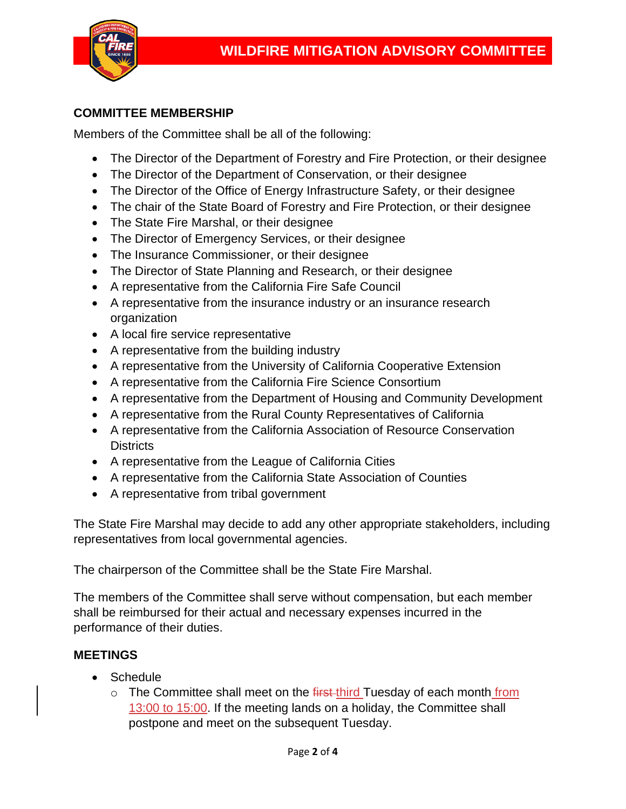

## **COMMITTEE MEMBERSHIP**

Members of the Committee shall be all of the following:

- The Director of the Department of Forestry and Fire Protection, or their designee
- The Director of the Department of Conservation, or their designee
- The Director of the Office of Energy Infrastructure Safety, or their designee
- The chair of the State Board of Forestry and Fire Protection, or their designee
- The State Fire Marshal, or their designee
- The Director of Emergency Services, or their designee
- The Insurance Commissioner, or their designee
- The Director of State Planning and Research, or their designee
- A representative from the California Fire Safe Council
- A representative from the insurance industry or an insurance research organization
- A local fire service representative
- A representative from the building industry
- A representative from the University of California Cooperative Extension
- A representative from the California Fire Science Consortium
- A representative from the Department of Housing and Community Development
- A representative from the Rural County Representatives of California
- A representative from the California Association of Resource Conservation **Districts**
- A representative from the League of California Cities
- A representative from the California State Association of Counties
- A representative from tribal government

The State Fire Marshal may decide to add any other appropriate stakeholders, including representatives from local governmental agencies.

The chairperson of the Committee shall be the State Fire Marshal.

The members of the Committee shall serve without compensation, but each member shall be reimbursed for their actual and necessary expenses incurred in the performance of their duties.

#### **MEETINGS**

- Schedule
	- o The Committee shall meet on the first-third Tuesday of each month from 13:00 to 15:00. If the meeting lands on a holiday, the Committee shall postpone and meet on the subsequent Tuesday.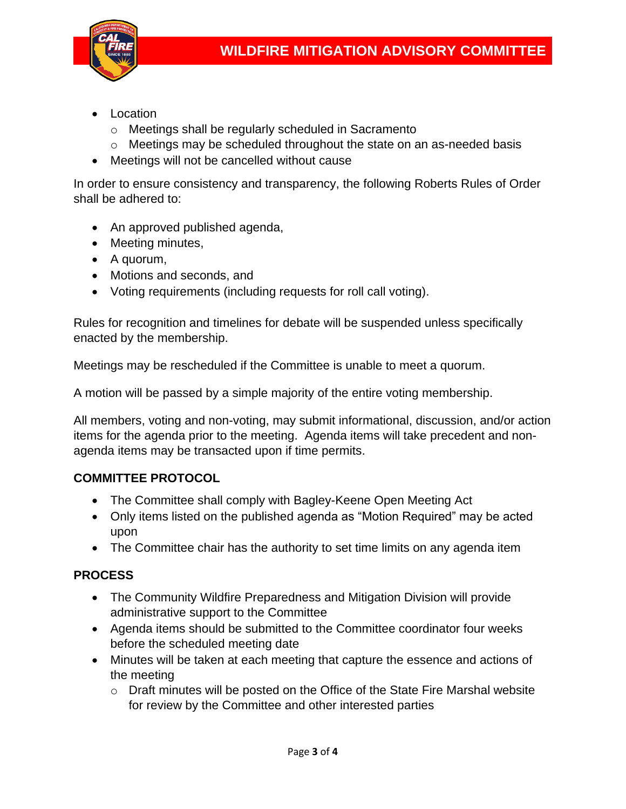

- Location
	- o Meetings shall be regularly scheduled in Sacramento
	- $\circ$  Meetings may be scheduled throughout the state on an as-needed basis
- Meetings will not be cancelled without cause

In order to ensure consistency and transparency, the following Roberts Rules of Order shall be adhered to:

- An approved published agenda,
- Meeting minutes,
- A quorum,
- Motions and seconds, and
- Voting requirements (including requests for roll call voting).

Rules for recognition and timelines for debate will be suspended unless specifically enacted by the membership.

Meetings may be rescheduled if the Committee is unable to meet a quorum.

A motion will be passed by a simple majority of the entire voting membership.

All members, voting and non-voting, may submit informational, discussion, and/or action items for the agenda prior to the meeting. Agenda items will take precedent and nonagenda items may be transacted upon if time permits.

#### **COMMITTEE PROTOCOL**

- The Committee shall comply with Bagley-Keene Open Meeting Act
- Only items listed on the published agenda as "Motion Required" may be acted upon
- The Committee chair has the authority to set time limits on any agenda item

#### **PROCESS**

- The Community Wildfire Preparedness and Mitigation Division will provide administrative support to the Committee
- Agenda items should be submitted to the Committee coordinator four weeks before the scheduled meeting date
- Minutes will be taken at each meeting that capture the essence and actions of the meeting
	- o Draft minutes will be posted on the Office of the State Fire Marshal website for review by the Committee and other interested parties